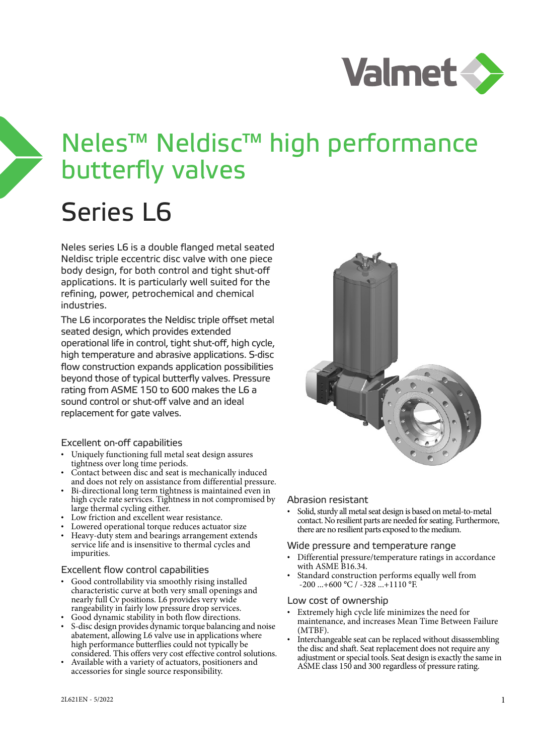

# Neles™ Neldisc™ high performance butterfly valves

## Series L6

Neles series L6 is a double flanged metal seated Neldisc triple eccentric disc valve with one piece body design, for both control and tight shut-off applications. It is particularly well suited for the refining, power, petrochemical and chemical industries.

The L6 incorporates the Neldisc triple offset metal seated design, which provides extended operational life in control, tight shut-off, high cycle, high temperature and abrasive applications. S-disc flow construction expands application possibilities beyond those of typical butterfly valves. Pressure rating from ASME 150 to 600 makes the L6 a sound control or shut-off valve and an ideal replacement for gate valves.

### Excellent on-off capabilities

- Uniquely functioning full metal seat design assures tightness over long time periods.
- Contact between disc and seat is mechanically induced and does not rely on assistance from differential pressure.
- Bi-directional long term tightness is maintained even in high cycle rate services. Tightness in not compromised by large thermal cycling either.
- Low friction and excellent wear resistance.
- Lowered operational torque reduces actuator size
- Heavy-duty stem and bearings arrangement extends service life and is insensitive to thermal cycles and impurities.

### Excellent flow control capabilities

- Good controllability via smoothly rising installed characteristic curve at both very small openings and nearly full Cv positions. L6 provides very wide rangeability in fairly low pressure drop services.
- Good dynamic stability in both flow directions.
- S-disc design provides dynamic torque balancing and noise abatement, allowing L6 valve use in applications where high performance butterflies could not typically be considered. This offers very cost effective control solutions.
- Available with a variety of actuators, positioners and accessories for single source responsibility.



### Abrasion resistant

• Solid, sturdy all metal seat design is based on metal-to-metal contact. No resilient parts are needed for seating. Furthermore, there are no resilient parts exposed to the medium.

### Wide pressure and temperature range

- Differential pressure/temperature ratings in accordance with ASME B16.34.
- Standard construction performs equally well from  $-200$  ...+600 °C /  $-328$  ...+1110 °F.

### Low cost of ownership

- Extremely high cycle life minimizes the need for maintenance, and increases Mean Time Between Failure (MTBF).
- Interchangeable seat can be replaced without disassembling the disc and shaft. Seat replacement does not require any adjustment or special tools. Seat design is exactly the same in ASME class 150 and 300 regardless of pressure rating.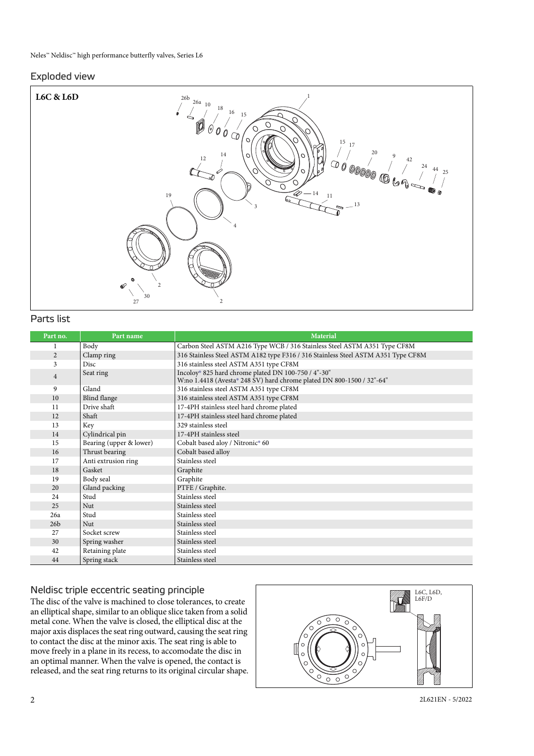### Exploded view



### Parts list

| Part no.        | Part name               | <b>Material</b>                                                                                                                          |
|-----------------|-------------------------|------------------------------------------------------------------------------------------------------------------------------------------|
|                 | Body                    | Carbon Steel ASTM A216 Type WCB / 316 Stainless Steel ASTM A351 Type CF8M                                                                |
| $\overline{2}$  | Clamp ring              | 316 Stainless Steel ASTM A182 type F316 / 316 Stainless Steel ASTM A351 Type CF8M                                                        |
| 3               | Disc                    | 316 stainless steel ASTM A351 type CF8M                                                                                                  |
| $\overline{4}$  | Seat ring               | Incoloy <sup>®</sup> 825 hard chrome plated DN 100-750 / 4"-30"<br>W:no 1.4418 (Avesta® 248 SV) hard chrome plated DN 800-1500 / 32"-64" |
| 9               | Gland                   | 316 stainless steel ASTM A351 type CF8M                                                                                                  |
| 10              | Blind flange            | 316 stainless steel ASTM A351 type CF8M                                                                                                  |
| 11              | Drive shaft             | 17-4PH stainless steel hard chrome plated                                                                                                |
| 12              | Shaft                   | 17-4PH stainless steel hard chrome plated                                                                                                |
| 13              | Key                     | 329 stainless steel                                                                                                                      |
| 14              | Cylindrical pin         | 17-4PH stainless steel                                                                                                                   |
| 15              | Bearing (upper & lower) | Cobalt based aloy / Nitronic <sup>®</sup> 60                                                                                             |
| 16              | Thrust bearing          | Cobalt based alloy                                                                                                                       |
| 17              | Anti extrusion ring     | Stainless steel                                                                                                                          |
| 18              | Gasket                  | Graphite                                                                                                                                 |
| 19              | Body seal               | Graphite                                                                                                                                 |
| 20              | Gland packing           | PTFE / Graphite.                                                                                                                         |
| 24              | Stud                    | Stainless steel                                                                                                                          |
| 25              | Nut                     | Stainless steel                                                                                                                          |
| 26a             | Stud                    | Stainless steel                                                                                                                          |
| 26 <sub>b</sub> | Nut                     | Stainless steel                                                                                                                          |
| 27              | Socket screw            | Stainless steel                                                                                                                          |
| 30              | Spring washer           | Stainless steel                                                                                                                          |
| 42              | Retaining plate         | Stainless steel                                                                                                                          |
| 44              | Spring stack            | Stainless steel                                                                                                                          |

### Neldisc triple eccentric seating principle

The disc of the valve is machined to close tolerances, to create an elliptical shape, similar to an oblique slice taken from a solid metal cone. When the valve is closed, the elliptical disc at the major axis displaces the seat ring outward, causing the seat ring to contact the disc at the minor axis. The seat ring is able to move freely in a plane in its recess, to accomodate the disc in an optimal manner. When the valve is opened, the contact is released, and the seat ring returns to its original circular shape.

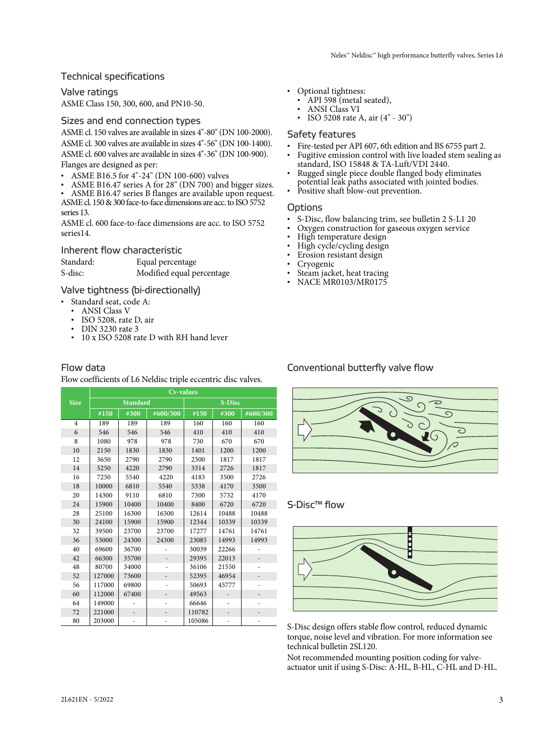### Technical specifications

Valve ratings ASME Class 150, 300, 600, and PN10-50.

### Sizes and end connection types

ASME cl. 150 valves are available in sizes 4"-80" (DN 100-2000). ASME cl. 300 valves are available in sizes 4"-56" (DN 100-1400). ASME cl. 600 valves are available in sizes 4"-36" (DN 100-900). Flanges are designed as per:

- ASME B16.5 for 4"-24" (DN 100-600) valves
- ASME B16.47 series A for 28" (DN 700) and bigger sizes.

ASME B16.47 series B flanges are available upon request. ASME cl. 150 & 300 face-to-face dimensions are acc. to ISO 5752 series 13.

ASME cl. 600 face-to-face dimensions are acc. to ISO 5752 series14.

### Inherent flow characteristic

| Standard: | Equal percentage          |
|-----------|---------------------------|
| S-disc:   | Modified equal percentage |

Valve tightness (bi-directionally)

- Standard seat, code A:
	- ANSI Class V
	- ISO 5208, rate D, air
	- DIN 3230 rate 3
	- 10 x ISO 5208 rate D with RH hand lever

### Flow data

Flow coefficients of L6 Neldisc triple eccentric disc valves.

|                |        |                 | <b>Cv-values</b> |        |        |          |
|----------------|--------|-----------------|------------------|--------|--------|----------|
| <b>Size</b>    |        | <b>Standard</b> |                  |        | S-Disc |          |
|                | #150   | #300            | #600/300         | #150   | #300   | #600/300 |
| $\overline{4}$ | 189    | 189             | 189              | 160    | 160    | 160      |
| 6              | 546    | 546             | 546              | 410    | 410    | 410      |
| 8              | 1080   | 978             | 978              | 730    | 670    | 670      |
| 10             | 2150   | 1830            | 1830             | 1401   | 1200   | 1200     |
| 12             | 3650   | 2790            | 2790             | 2300   | 1817   | 1817     |
| 14             | 5250   | 4220            | 2790             | 3314   | 2726   | 1817     |
| 16             | 7250   | 5540            | 4220             | 4183   | 3500   | 2726     |
| 18             | 10000  | 6810            | 5540             | 5338   | 4170   | 3500     |
| 20             | 14300  | 9110            | 6810             | 7300   | 5732   | 4170     |
| 24             | 15900  | 10400           | 10400            | 8400   | 6720   | 6720     |
| 28             | 25100  | 16300           | 16300            | 12614  | 10488  | 10488    |
| 30             | 24100  | 15900           | 15900            | 12344  | 10339  | 10339    |
| 32             | 39500  | 23700           | 23700            | 17277  | 14761  | 14761    |
| 36             | 53000  | 24300           | 24300            | 23085  | 14993  | 14993    |
| 40             | 69600  | 36700           |                  | 30039  | 22266  |          |
| 42             | 66300  | 35700           |                  | 29395  | 22013  |          |
| 48             | 80700  | 34000           |                  | 36106  | 21550  | ۰        |
| 52             | 127000 | 73600           |                  | 52395  | 46954  |          |
| 56             | 117000 | 69800           |                  | 50693  | 45777  |          |
| 60             | 112000 | 67400           |                  | 49563  |        |          |
| 64             | 149000 |                 |                  | 66646  |        |          |
| 72             | 221000 |                 | $\overline{a}$   | 110782 |        |          |
| 80             | 203000 |                 |                  | 105086 |        |          |

- Optional tightness:
	- API 598 (metal seated),
	- ANSI Class VI
	- ISO 5208 rate A, air (4" 30")

### Safety features

- Fire-tested per API 607, 6th edition and BS 6755 part 2.
- Fugitive emission control with live loaded stem sealing as standard, ISO 15848 & TA-Luft/VDI 2440.
- Rugged single piece double flanged body eliminates potential leak paths associated with jointed bodies.
- Positive shaft blow-out prevention.

### **Options**

- S-Disc, flow balancing trim, see bulletin 2 S-L1 20
- Oxygen construction for gaseous oxygen service
- High temperature design
- High cycle/cycling design
- Erosion resistant design
- **Cryogenic**
- Steam jacket, heat tracing
- NACE MR0103/MR0175

Conventional butterfly valve flow



### S-Disc™ flow



S-Disc design offers stable flow control, reduced dynamic torque, noise level and vibration. For more information see technical bulletin 2SL120.

Not recommended mounting position coding for valveactuator unit if using S-Disc: A-HL, B-HL, C-HL and D-HL.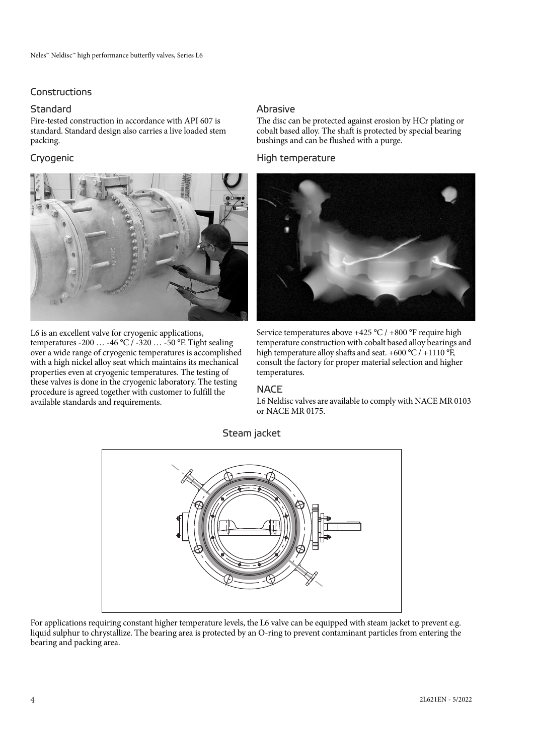### Constructions

### **Standard**

Fire-tested construction in accordance with API 607 is standard. Standard design also carries a live loaded stem packing.

### Cryogenic



L6 is an excellent valve for cryogenic applications, temperatures -200 … -46 °C / -320 … -50 °F. Tight sealing over a wide range of cryogenic temperatures is accomplished with a high nickel alloy seat which maintains its mechanical properties even at cryogenic temperatures. The testing of these valves is done in the cryogenic laboratory. The testing procedure is agreed together with customer to fulfill the available standards and requirements.

### Abrasive

The disc can be protected against erosion by HCr plating or cobalt based alloy. The shaft is protected by special bearing bushings and can be flushed with a purge.

### High temperature



Service temperatures above +425 °C / +800 °F require high temperature construction with cobalt based alloy bearings and high temperature alloy shafts and seat. +600 °C / +1110 °F, consult the factory for proper material selection and higher temperatures.

### NACE

L6 Neldisc valves are available to comply with NACE MR 0103 or NACE MR 0175.



For applications requiring constant higher temperature levels, the L6 valve can be equipped with steam jacket to prevent e.g. liquid sulphur to chrystallize. The bearing area is protected by an O-ring to prevent contaminant particles from entering the bearing and packing area.

### Steam jacket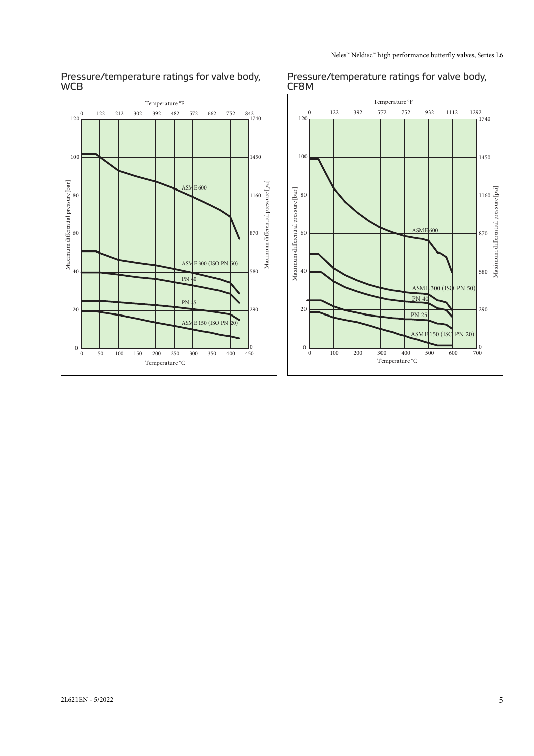

### Pressure/temperature ratings for valve body, **WCB**

Pressure/temperature ratings for valve body, CF8M

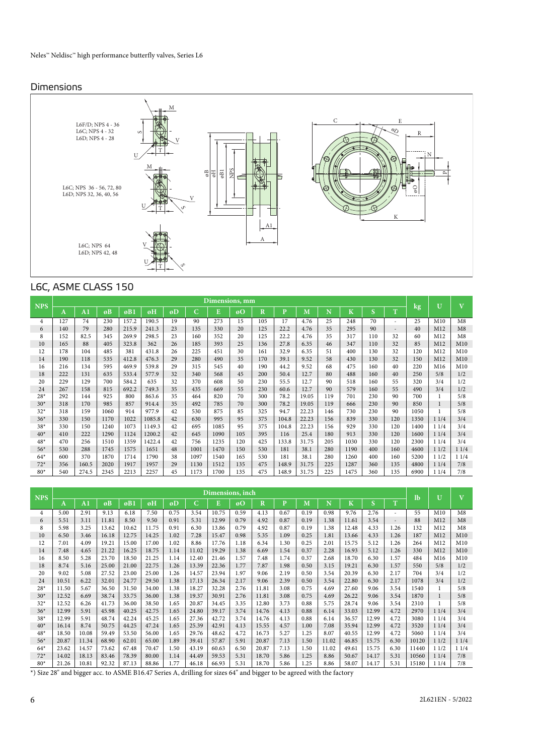### Dimensions



### L6C, ASME CLASS 150

| <b>NPS</b> | Dimensions, mm |                |      |       |        |    |      |      |     |                         |              |       | Ū   | $\overline{\mathbf{V}}$ |              |                          |      |      |      |
|------------|----------------|----------------|------|-------|--------|----|------|------|-----|-------------------------|--------------|-------|-----|-------------------------|--------------|--------------------------|------|------|------|
|            | $\mathbf{A}$   | A <sub>1</sub> | øB   | øB1   | øH     | øD | C    | E    | øO  | $\overline{\mathbf{R}}$ | $\mathbf{P}$ | M     | N   | $\overline{\mathbf{K}}$ | <sub>S</sub> | T                        | kg   |      |      |
| 4          | 127            | 74             | 230  | 157.2 | 190.5  | 19 | 90   | 273  | 15  | 105                     | 17           | 4.76  | 25  | 248                     | 70           | $\overline{\phantom{a}}$ | 25   | M10  | M8   |
| 6          | 140            | 79             | 280  | 215.9 | 241.3  | 23 | 135  | 330  | 20  | 125                     | 22.2         | 4.76  | 35  | 295                     | 90           | $\overline{\phantom{a}}$ | 40   | M12  | M8   |
| 8          | 152            | 82.5           | 345  | 269.9 | 298.5  | 23 | 160  | 352  | 20  | 125                     | 22.2         | 4.76  | 35  | 317                     | 110          | 32                       | 60   | M12  | M8   |
| 10         | 165            | 88             | 405  | 323.8 | 362    | 26 | 185  | 393  | 25  | 136                     | 27.8         | 6.35  | 46  | 347                     | 110          | 32                       | 85   | M12  | M10  |
| 12         | 178            | 104            | 485  | 381   | 431.8  | 26 | 225  | 451  | 30  | 161                     | 32.9         | 6.35  | 51  | 400                     | 130          | 32                       | 120  | M12  | M10  |
| 14         | 190            | 118            | 535  | 412.8 | 476.3  | 29 | 280  | 490  | 35  | 170                     | 39.1         | 9.52  | 58  | 430                     | 130          | 32                       | 150  | M12  | M10  |
| 16         | 216            | 134            | 595  | 469.9 | 539.8  | 29 | 315  | 545  | 40  | 190                     | 44.2         | 9.52  | 68  | 475                     | 160          | 40                       | 220  | M16  | M10  |
| 18         | 222            | 131            | 635  | 533.4 | 577.9  | 32 | 340  | 568  | 45  | 200                     | 50.4         | 12.7  | 80  | 488                     | 160          | 40                       | 250  | 5/8  | 1/2  |
| 20         | 229            | 129            | 700  | 584.2 | 635    | 32 | 370  | 608  | 50  | 230                     | 55.5         | 12.7  | 90  | 518                     | 160          | 55                       | 320  | 3/4  | 1/2  |
| 24         | 267            | 158            | 815  | 692.2 | 749.3  | 35 | 435  | 669  | 55  | 230                     | 60.6         | 12.7  | 90  | 579                     | 160          | 55                       | 490  | 3/4  | 1/2  |
| $28*$      | 292            | 144            | 925  | 800   | 863.6  | 35 | 464  | 820  | 70  | 300                     | 78.2         | 19.05 | 119 | 701                     | 230          | 90                       | 700  |      | 5/8  |
| $30*$      | 318            | 170            | 985  | 857   | 914.4  | 35 | 492  | 785  | 70  | 300                     | 78.2         | 19.05 | 119 | 666                     | 230          | 90                       | 850  |      | 5/8  |
| $32*$      | 318            | 159            | 1060 | 914   | 977.9  | 42 | 530  | 875  | 85  | 325                     | 94.7         | 22.23 | 146 | 730                     | 230          | 90                       | 1050 |      | 5/8  |
| $36*$      | 330            | 150            | 1170 | 1022  | 1085.8 | 42 | 630  | 995  | 95  | 375                     | 104.8        | 22.23 | 156 | 839                     | 330          | 120                      | 1350 | 11/4 | 3/4  |
| $38*$      | 330            | 150            | 1240 | 1073  | 1149.3 | 42 | 695  | 1085 | 95  | 375                     | 104.8        | 22.23 | 156 | 929                     | 330          | 120                      | 1400 | 11/4 | 3/4  |
| $40*$      | 410            | 222            | 1290 | 1124  | 1200.2 | 42 | 645  | 1090 | 105 | 395                     | 116          | 25.4  | 180 | 913                     | 330          | 120                      | 1600 | 11/4 | 3/4  |
| $48*$      | 470            | 256            | 1510 | 1359  | 1422.4 | 42 | 756  | 1235 | 120 | 425                     | 133.8        | 31.75 | 205 | 1030                    | 330          | 120                      | 2300 | 11/4 | 3/4  |
| $56*$      | 530            | 288            | 1745 | 1575  | 1651   | 48 | 1001 | 1470 | 150 | 530                     | 181          | 38.1  | 280 | 1190                    | 400          | 160                      | 4600 | 11/2 | 11/4 |
| $64*$      | 600            | 370            | 1870 | 1714  | 1790   | 38 | 1097 | 1540 | 165 | 530                     | 181          | 38.1  | 280 | 1260                    | 400          | 160                      | 5200 | 11/2 | 11/4 |
| $72*$      | 356            | 160.5          | 2020 | 1917  | 1957   | 29 | 1130 | 1512 | 135 | 475                     | 148.9        | 31.75 | 225 | 1287                    | 360          | 135                      | 4800 | 11/4 | 7/8  |
| $80*$      | 540            | 274.5          | 2345 | 2213  | 2257   | 45 | 1173 | 1700 | 135 | 475                     | 148.9        | 31.75 | 225 | 1475                    | 360          | 135                      | 6900 | 11/4 | 7/8  |

| <b>NPS</b> | Dimensions, inch |           |       |       |       |      |       |       |      |                         | lb           | Ū    | $\overline{\mathbf{V}}$ |       |       |                          |       |                 |      |
|------------|------------------|-----------|-------|-------|-------|------|-------|-------|------|-------------------------|--------------|------|-------------------------|-------|-------|--------------------------|-------|-----------------|------|
|            | A                | $\bf{A1}$ | øB    | øB1   | øH    | øD   | C.    | E     | øO   | $\overline{\mathbf{R}}$ | $\mathbf{p}$ | M    | N                       | K     | S.    | T                        |       |                 |      |
| 4          | 5.00             | 2.91      | 9.13  | 6.18  | 7.50  | 0.75 | 3.54  | 10.75 | 0.59 | 4.13                    | 0.67         | 0.19 | 0.98                    | 9.76  | 2.76  | $\overline{\phantom{a}}$ | 55    | M10             | M8   |
| 6          | 5.51             | 3.11      | 11.81 | 8.50  | 9.50  | 0.91 | 5.31  | 12.99 | 0.79 | 4.92                    | 0.87         | 0.19 | 1.38                    | 11.61 | 3.54  | $\overline{\phantom{a}}$ | 88    | M12             | M8   |
| 8          | 5.98             | 3.25      | 13.62 | 10.62 | 11.75 | 0.91 | 6.30  | 13.86 | 0.79 | 4.92                    | 0.87         | 0.19 | 1.38                    | 12.48 | 4.33  | 1.26                     | 132   | M12             | M8   |
| 10         | 6.50             | 3.46      | 16.18 | 12.75 | 14.25 | 1.02 | 7.28  | 15.47 | 0.98 | 5.35                    | 1.09         | 0.25 | 1.81                    | 13.66 | 4.33  | 1.26                     | 187   | M12             | M10  |
| 12         | 7.01             | 4.09      | 19.21 | 15.00 | 17.00 | 1.02 | 8.86  | 17.76 | 1.18 | 6.34                    | 1.30         | 0.25 | 2.01                    | 15.75 | 5.12  | 1.26                     | 264   | M12             | M10  |
| 14         | 7.48             | 4.65      | 21.22 | 16.25 | 18.75 | 1.14 | 11.02 | 19.29 | 1.38 | 6.69                    | 1.54         | 0.37 | 2.28                    | 16.93 | 5.12  | 1.26                     | 330   | M12             | M10  |
| 16         | 8.50             | 5.28      | 23.70 | 18.50 | 21.25 | 1.14 | 12.40 | 21.46 | 1.57 | 7.48                    | 1.74         | 0.37 | 2.68                    | 18.70 | 6.30  | 1.57                     | 484   | M <sub>16</sub> | M10  |
| 18         | 8.74             | 5.16      | 25.00 | 21.00 | 22.75 | 1.26 | 13.39 | 22.36 | 1.77 | 7.87                    | 1.98         | 0.50 | 3.15                    | 19.21 | 6.30  | 1.57                     | 550   | 5/8             | 1/2  |
| 20         | 9.02             | 5.08      | 27.52 | 23.00 | 25.00 | 1.26 | 14.57 | 23.94 | 1.97 | 9.06                    | 2.19         | 0.50 | 3.54                    | 20.39 | 6.30  | 2.17                     | 704   | 3/4             | 1/2  |
| 24         | 10.51            | 6.22      | 32.01 | 24.77 | 29.50 | 1.38 | 17.13 | 26.34 | 2.17 | 9.06                    | 2.39         | 0.50 | 3.54                    | 22.80 | 6.30  | 2.17                     | 1078  | 3/4             | 1/2  |
| $28*$      | 11.50            | 5.67      | 36.50 | 31.50 | 34.00 | 1.38 | 18.27 | 32.28 | 2.76 | 11.81                   | 3.08         | 0.75 | 4.69                    | 27.60 | 9.06  | 3.54                     | 1540  |                 | 5/8  |
| $30*$      | 12.52            | 6.69      | 38.74 | 33.75 | 36.00 | 1.38 | 19.37 | 30.91 | 2.76 | 11.81                   | 3.08         | 0.75 | 4.69                    | 26.22 | 9.06  | 3.54                     | 1870  | $\perp$         | 5/8  |
| $32*$      | 12.52            | 6.26      | 41.73 | 36.00 | 38.50 | 1.65 | 20.87 | 34.45 | 3.35 | 12.80                   | 3.73         | 0.88 | 5.75                    | 28.74 | 9.06  | 3.54                     | 2310  |                 | 5/8  |
| $36*$      | 12.99            | 5.91      | 45.98 | 40.25 | 42.75 | 1.65 | 24.80 | 39.17 | 3.74 | 14.76                   | 4.13         | 0.88 | 6.14                    | 33.03 | 12.99 | 4.72                     | 2970  | 11/4            | 3/4  |
| $38*$      | 12.99            | 5.91      | 48.74 | 42.24 | 45.25 | 1.65 | 27.36 | 42.72 | 3.74 | 14.76                   | 4.13         | 0.88 | 6.14                    | 36.57 | 12.99 | 4.72                     | 3080  | 11/4            | 3/4  |
| $40*$      | 16.14            | 8.74      | 50.75 | 44.25 | 47.24 | 1.65 | 25.39 | 42.91 | 4.13 | 15.55                   | 4.57         | 1.00 | 7.08                    | 35.94 | 12.99 | 4.72                     | 3520  | 11/4            | 3/4  |
| $48*$      | 18.50            | 10.08     | 59.49 | 53.50 | 56.00 | 1.65 | 29.76 | 48.62 | 4.72 | 16.73                   | 5.27         | 1.25 | 8.07                    | 40.55 | 12.99 | 4.72                     | 5060  | 11/4            | 3/4  |
| $.56*$     | 20.87            | 11.34     | 68.90 | 62.01 | 65.00 | 1.89 | 39.41 | 57.87 | 5.91 | 20.87                   | 7.13         | 1.50 | 11.02                   | 46.85 | 15.75 | 6.30                     | 10120 | 11/2            | 11/4 |
| $64*$      | 23.62            | 14.57     | 73.62 | 67.48 | 70.47 | 1.50 | 43.19 | 60.63 | 6.50 | 20.87                   | 7.13         | 1.50 | 11.02                   | 49.61 | 15.75 | 6.30                     | 11440 | 11/2            | 11/4 |
| $72*$      | 14.02            | 18.13     | 83.46 | 78.39 | 80.00 | 1.14 | 44.49 | 59.53 | 5.31 | 18.70                   | 5.86         | 1.25 | 8.86                    | 50.67 | 14.17 | 5.31                     | 10560 | 11/4            | 7/8  |
| $80*$      | 21.26            | 10.81     | 92.32 | 87.13 | 88.86 | 1.77 | 46.18 | 66.93 | 5.31 | 18.70                   | 5.86         | 1.25 | 8.86                    | 58.07 | 14.17 | 5.31                     | 15180 | 11/4            | 7/8  |

\*) Size 28" and bigger acc. to ASME B16.47 Series A, drilling for sizes 64" and bigger to be agreed with the factory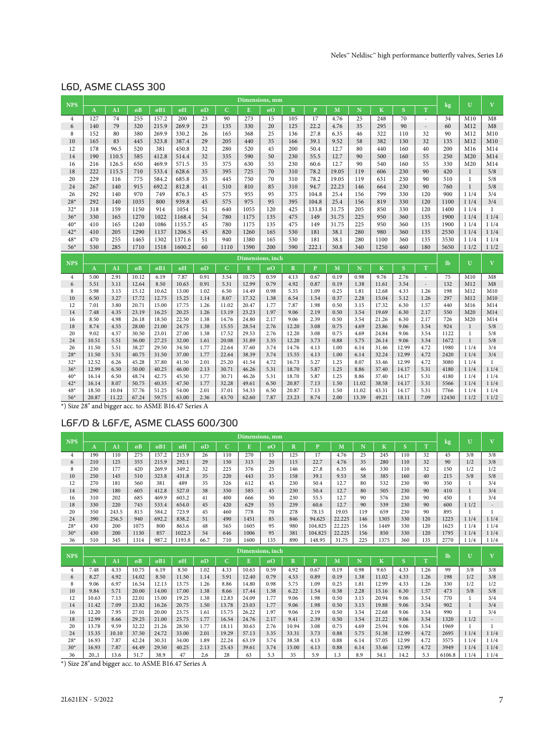### L6D, ASME CLASS 300

|                | Dimensions, mm<br><b>NPS</b> |                |                |                |                |              |                |                  |              |                |              |              | $\mathbf{U}$   | V              |                |                          |               |                 |                     |
|----------------|------------------------------|----------------|----------------|----------------|----------------|--------------|----------------|------------------|--------------|----------------|--------------|--------------|----------------|----------------|----------------|--------------------------|---------------|-----------------|---------------------|
|                | A                            | A <sub>1</sub> | øB             | øB1            | øH             | øD           | $\mathbf C$    | E                | øO           | $\mathbb{R}$   | $\mathbf{p}$ | M            | ${\bf N}$      | $\mathbf K$    | S              | T                        | kg            |                 |                     |
| $\overline{4}$ | 127                          | 74             | 255            | 157.2          | 200            | 23           | 90             | 273              | 15           | 105            | 17           | 4.76         | 25             | 248            | 70             | $\sim$                   | 34            | M10             | M8                  |
| 6              | 140                          | 79             | 320            | 215.9          | 269.9          | 23           | 135            | 330              | 20           | 125            | 22.2         | 4.76         | 35             | 295            | 90             | $\overline{\phantom{a}}$ | 60            | M12             | M8                  |
| 8              | 152                          | 80             | 380            | 269.9          | 330.2          | 26           | 165            | 368              | 25           | 136            | 27.8         | 6.35         | 46             | 322            | 110            | 32                       | 90            | M12             | M10                 |
| 10             | 165                          | 83             | 445            | 323.8          | 387.4          | 29           | 205            | 440              | 35           | 166            | 39.1         | 9.52         | 58             | 382            | 130            | 32                       | 135           | M12             | M10                 |
| 12             | 178                          | 96.5           | 520            | 381            | 450.8          | 32           | 280            | 520              | 45           | 200            | 50.4         | 12.7         | 80             | 440            | 160            | 40                       | 200           | M16             | M14                 |
| 14             | 190                          | 110.5          | 585            | 412.8          | 514.4          | 32           | 335            | 590              | 50           | 230            | 55.5         | 12.7         | 90             | 500            | 160            | 55                       | 250           | M <sub>20</sub> | M14                 |
| 16             | 216                          | 126.5          | 650            | 469.9          | 571.5          | 35           | 375            | 630              | 55           | 230            | 60.6         | 12.7         | 90             | 540            | 160            | 55                       | 330           | M <sub>20</sub> | M14                 |
| 18             | 222                          | 115.5          | 710            | 533.4          | 628.6          | 35           | 395            | 725              | 70           | 310            | 78.2         | 19.05        | 119            | 606            | 230            | 90                       | 420           | $\mathbf{1}$    | 5/8                 |
| 20             | 229                          | 116            | 775            | 584.2          | 685.8          | 35           | 445            | 750              | 70           | 310            | 78.2         | 19.05        | 119            | 631            | 230            | 90                       | 510           | $\mathbf{1}$    | 5/8                 |
| 24             | 267                          | 140            | 915            | 692.2          | 812.8          | 41           | 510            | 810              | 85           | 310            | 94.7         | 22.23        | 146            | 664            | 230            | 90                       | 760           | $\mathbf{1}$    | 5/8                 |
| 26             | 292                          | 140            | 970            | 749            | 876.3          | 45           | 575            | 955              | 95           | 375            | 104.8        | 25.4         | 156            | 799            | 330            | 120                      | 900           | 11/4            | 3/4                 |
| $28*$          | 292                          | 140            | 1035           | 800            | 939.8          | 45           | 575            | 975              | 95           | 395            | 104.8        | 25.4         | 156            | 819            | 330            | 120                      | 1100          | 11/4            | 3/4                 |
| $32*$          | 318                          | 159            | 1150           | 914            | 1054           | 51           | 640            | 1055             | 120          | 425            | 133.8        | 31.75        | 205            | 850            | 330            | 120                      | 1400          | 11/4            | $\mathbf{1}$        |
| $36*$          | 330                          | 165            | 1270           | 1022           | 1168.4         | 54           | 780            | 1175             | 135          | 475            | 149          | 31.75        | 225            | 950            | 360            | 135                      | 1900          | 11/4            | 11/4                |
| $40*$          | 410                          | 165            | 1240           | 1086           | 1155.7         | 45           | 780            | 1175             | 135          | 475            | 149          | 31.75        | 225            | 950            | 360            | 135                      | 1900          | 11/4            | 11/4                |
| $42*$          | 410                          | 205            | 1290           | 1137           | 1206.5         | 45           | 820            | 1260             | 165          | 530            | 181          | 38.1         | 280            | 980            | 360            | 135                      | 2530          | 11/4            | 11/4                |
| $48*$          | 470                          | 255            | 1465           | 1302           | 1371.6         | 51           | 940            | 1380             | 165          | 530            | 181          | 38.1         | 280            | 1100           | 360            | 135                      | 3530          | 11/4            | 11/4                |
| $56*$          | 530                          | 285            | 1710           | 1518           | 1600.2         | 60           | 1110           | 1590             | 200          | 590            | 222.1        | 50.8         | 340            | 1250           | 460            | 180                      | 5650          | 11/2            | 11/2                |
|                |                              |                |                |                |                |              |                | Dimensions, inch |              |                |              |              |                |                |                |                          |               |                 |                     |
| <b>NPS</b>     | $\mathbf{A}$                 | A1             | øB             | øB1            | øH             | øD           | $\mathbf C$    | ${\bf E}$        | øΟ           | $\mathbb R$    | $\mathbf{P}$ | M            | ${\bf N}$      | $\mathbf K$    | S              | T                        | $\mathbf{lb}$ | $\mathbf{U}$    | V                   |
| $\overline{4}$ | 5.00                         | 2.91           | 10.12          | 6.19           | 7.87           | 0.91         | 3.54           | 10.75            | 0.59         | 4.13           | 0.67         | 0.19         | 0.98           | 9.76           | 2.76           | $\overline{\phantom{a}}$ | 75            | M10             | M8                  |
| 6              | 5.51                         | 3.11           | 12.64          | 8.50           | 10.63          | 0.91         | 5.31           | 12.99            | 0.79         | 4.92           | 0.87         | 0.19         | 1.38           | 11.61          | 3.54           | $\mathcal{L}$            | 132           | M12             | M8                  |
| 8              | 5.98                         | 3.15           | 15.12          | 10.62          | 13.00          | 1.02         | 6.50           | 14.49            | 0.98         | 5.35           | 1.09         | 0.25         | 1.81           | 12.68          | 4.33           | 1.26                     | 198           | M12             | M10                 |
| 10             | 6.50                         | 3.27           | 17.72          | 12.75          | 15.25          | 1.14         | 8.07           | 17.32            | 1.38         | 6.54           | 1.54         | 0.37         | 2.28           | 15.04          | 5.12           | 1.26                     | 297           | M12             | M10                 |
| 12             | 7.01                         | 3.80           | 20.71          | 15.00          | 17.75          | 1.26         | 11.02          | 20.47            | 1.77         | 7.87           | 1.98         | 0.50         | 3.15           | 17.32          | 6.30           | 1.57                     | 440           | M16             | M14                 |
| 14             | 7.48                         | 4.35           | 23.19          | 16.25          | 20.25          | 1.26         | 13.19          | 23.23            | 1.97         | 9.06           | 2.19         | 0.50         | 3.54           | 19.69          | 6.30           | 2.17                     | 550           | M20             | M14                 |
| 16             | 8.50                         | 4.98           | 26.18          | 18.50          | 22.50          | 1.38         | 14.76          | 24.80            | 2.17         | 9.06           | 2.39         | 0.50         | 3.54           | 21.26          | 6.30           | 2.17                     | 726           | M20             | M14                 |
| 18             | 8.74                         | 4.55           | 28.00          | 21.00          | 24.75          | 1.38         | 15.55          | 28.54            | 2.76         | 12.20          | 3.08         | 0.75         | 4.69           | 23.86          | 9.06           | 3.54                     | 924           | $\mathbf{1}$    | 5/8                 |
| 20             | 9.02                         | 4.57           | 30.50          | 23.01          | 27.00          | 1.38         | 17.52          | 29.53            | 2.76         | 12.20          | 3.08         | 0.75         | 4.69           | 24.84          | 9.06           | 3.54                     | 1122          | $\mathbf{1}$    | 5/8                 |
| 24             | 10.51                        | 5.51           | 36.00          | 27.25          | 32.00          | 1.61         | 20.08          | 31.89            | 3.35         | 12.20          | 3.73         | 0.88         | 5.75           | 26.14          | 9.06           | 3.54                     | 1672          | $\mathbf{1}$    | 5/8                 |
| 26             | 11.50                        | 5.51           | 38.27          | 29.50          | 34.50          | 1.77         | 22.64          | 37.60            | 3.74         | 14.76          | 4.13         | 1.00         | 6.14           | 31.46          | 12.99          | 4.72                     | 1980          | 11/4            | 3/4                 |
| $28*$<br>$32*$ | 11.50<br>12.52               | 5.51<br>6.26   | 40.75<br>45.28 | 31.50<br>37.80 | 37.00<br>41.50 | 1.77<br>2.01 | 22.64<br>25.20 | 38.39<br>41.54   | 3.74<br>4.72 | 15.55<br>16.73 | 4.13<br>5.27 | 1.00<br>1.25 | 6.14<br>8.07   | 32.24<br>33.46 | 12.99<br>12.99 | 4.72<br>4.72             | 2420<br>3080  | 11/4<br>11/4    | 3/4<br>$\mathbf{1}$ |
| $36*$          | 12.99                        | 6.50           | 50.00          | 40.25          | 46.00          | 2.13         | 30.71          | 46.26            | 5.31         | 18.70          | 5.87         | 1.25         | 8.86           | 37.40          | 14.17          | 5.31                     | 4180          | 11/4            | 11/4                |
|                |                              |                |                |                |                |              |                |                  |              |                |              |              |                |                |                |                          |               |                 |                     |
|                |                              |                |                |                |                |              |                |                  |              |                |              |              |                |                |                |                          |               |                 |                     |
| $40*$          | 16.14                        | 6.50           | 48.74          | 42.75          | 45.50          | 1.77         | 30.71          | 46.26            | 5.31         | 18.70          | 5.87         | 1.25         | 8.86           | 37.40          | 14.17          | 5.31                     | 4180          | 11/4            | 11/4                |
| $42*$          | 16.14                        | 8.07           | 50.75          | 40.35          | 47.50          | 1.77         | 32.28          | 49.61            | 6.50         | 20.87          | 7.13         | 1.50         | 11.02          | 38.58          | 14.17          | 5.31                     | 5566          | 11/4            | 11/4                |
| $48*$<br>$56*$ | 18.50<br>20.87               | 10.04<br>11.22 | 57.76<br>67.24 | 51.25<br>59.75 | 54.00<br>63.00 | 2.01<br>2.36 | 37.01<br>43.70 | 54.33<br>62.60   | 6.50<br>7.87 | 20.87<br>23.23 | 7.13<br>8.74 | 1.50<br>2.00 | 11.02<br>13.39 | 43.31<br>49.21 | 14.17<br>18.11 | 5.31<br>7.09             | 7766<br>12430 | 11/4<br>11/2    | 11/4<br>11/2        |

\*) Size 28" and bigger acc. to ASME B16.47 Series A

### L6F/D & L6F/E, ASME CLASS 600/300

| <b>NPS</b>     | Dimensions, mm |                |       |             |        |      |             |                  |                       |                         |              |        | U    | $\mathbf{V}$ |              |      |               |              |              |
|----------------|----------------|----------------|-------|-------------|--------|------|-------------|------------------|-----------------------|-------------------------|--------------|--------|------|--------------|--------------|------|---------------|--------------|--------------|
|                | $\mathbf{A}$   | A1             | øB    | $\sigma B1$ | øH     | øD   | $\mathbf C$ | E                | $\boldsymbol{\sigma}$ | $\overline{\mathbf{R}}$ | $\mathbf{P}$ | M      | N    | $\mathbf K$  | <sub>S</sub> | T.   | kg            |              |              |
| $\overline{4}$ | 190            | 110            | 275   | 157.2       | 215.9  | 26   | 110         | 270              | 15                    | 125                     | 17           | 4.76   | 25   | 245          | 110          | 32   | 45            | 3/8          | 3/8          |
| 6              | 210            | 125            | 355   | 215.9       | 292.1  | 29   | 150         | 315              | 20                    | 115                     | 22.7         | 4.76   | 35   | 280          | 110          | 32   | 90            | 1/2          | 3/8          |
| 8              | 230            | 177            | 420   | 269.9       | 349.2  | 32   | 225         | 376              | 25                    | 146                     | 27.8         | 6.35   | 46   | 330          | 110          | 32   | 150           | 1/2          | 1/2          |
| 10             | 250            | 145            | 510   | 323.8       | 431.8  | 35   | 220         | 443              | 35                    | 158                     | 39.1         | 9.53   | 58   | 385          | 160          | 40   | 215           | 5/8          | 5/8          |
| 12             | 270            | 181            | 560   | 381         | 489    | 35   | 326         | 612              | 45                    | 230                     | 50.4         | 12.7   | 80   | 532          | 230          | 90   | 350           |              | 3/4          |
| 14             | 290            | 180            | 605   | 412.8       | 527.0  | 38   | 350         | 585              | 45                    | 230                     | 50.4         | 12.7   | 80   | 505          | 230          | 90   | 410           | $\mathbf{1}$ | 3/4          |
| 16             | 310            | 202            | 685   | 469.9       | 603.2  | 41   | 400         | 666              | 50                    | 230                     | 55.5         | 12.7   | 90   | 576          | 230          | 90   | 450           |              | 3/4          |
| 18             | 330            | 220            | 745   | 533.4       | 654.0  | 45   | 420         | 629              | 55                    | 239                     | 60.6         | 12.7   | 90   | 539          | 230          | 90   | 600           | 11/2         | $\sim$       |
| 20             | 350            | 243.5          | 815   | 584.2       | 723.9  | 45   | 460         | 778              | 70                    | 278                     | 78.15        | 19.05  | 119  | 659          | 230          | 90   | 895           | -1           | $\mathbf{1}$ |
| 24             | 390            | 256.5          | 940   | 692.2       | 838.2  | 51   | 490         | 1451             | 85                    | 846                     | 94.625       | 22.225 | 146  | 1305         | 330          | 120  | 1225          | 11/4         | 11/4         |
| $28*$          | 430            | 200            | 1075  | 800         | 863.6  | 48   | 565         | 1605             | 95                    | 980                     | 104.825      | 22.225 | 156  | 1449         | 330          | 120  | 1625          | 11/4         | 11/4         |
| $30*$          | 430            | 200            | 1130  | 857         | 1022.3 | 54   | 646         | 1006             | 95                    | 381                     | 104.825      | 22.225 | 156  | 850          | 330          | 120  | 1795          | 11/4         | 11/4         |
| 36             | 510            | 345            | 1314  | 987.2       | 1193.8 | 66.7 | 710         | 1600             | 135                   | 890                     | 148.95       | 31.75  | 225  | 1375         | 360          | 135  | 2770          | 11/4         | 11/4         |
|                |                |                |       |             |        |      |             |                  |                       |                         |              |        |      |              |              |      |               |              |              |
|                |                |                |       |             |        |      |             | Dimensions, inch |                       |                         |              |        |      |              |              |      |               |              |              |
| <b>NPS</b>     | A              | A <sub>1</sub> | øB    | øB1         | øH     | øD   | $\mathbf C$ | E                | $\boldsymbol{\delta}$ | $\mathbb{R}$            | $\mathbf{p}$ | M      | N    | $\mathbf K$  | S            | T.   | $\mathbf{lb}$ | U            | $\mathbf{V}$ |
| 4              | 7.48           | 4.33           | 10.75 | 6.19        | 8.50   | 1.02 | 4.33        | 10.63            | 0.59                  | 4.92                    | 0.67         | 0.19   | 0.98 | 9.65         | 4.33         | 1.26 | 99            | 3/8          | 3/8          |
| 6              | 8.27           | 4.92           | 14.02 | 8.50        | 11.50  | 1.14 | 5.91        | 12.40            | 0.79                  | 4.53                    | 0.89         | 0.19   | 1.38 | 11.02        | 4.33         | 1.26 | 198           | 1/2          | 3/8          |
| 8              | 9.06           | 6.97           | 16.54 | 12.13       | 13.75  | 1.26 | 8.86        | 14.80            | 0.98                  | 5.75                    | 1.09         | 0.25   | 1.81 | 12.99        | 4.33         | 1.26 | 330           | 1/2          | 1/2          |
| 10             | 9.84           | 5.71           | 20.00 | 14.00       | 17.00  | 1.38 | 8.66        | 17.44            | 1.38                  | 6.22                    | 1.54         | 0.38   | 2.28 | 15.16        | 6.30         | 1.57 | 473           | 5/8          | 5/8          |
| 12             | 10.63          | 7.13           | 22.01 | 15.00       | 19.25  | 1.38 | 12.83       | 24.09            | 1.77                  | 9.06                    | 1.98         | 0.50   | 3.15 | 20.94        | 9.06         | 3.54 | 770           | 1            | 3/4          |
| 14             | 11.42          | 7.09           | 23.82 | 16.26       | 20.75  | 1.50 | 13.78       | 23.03            | 1.77                  | 9.06                    | 1.98         | 0.50   | 3.15 | 19.88        | 9.06         | 3.54 | 902           | 1            | 3/4          |
| 16             | 12.20          | 7.95           | 27.01 | 20.00       | 23.75  | 1.61 | 15.75       | 26.22            | 1.97                  | 9.06                    | 2.19         | 0.50   | 3.54 | 22.68        | 9.06         | 3.54 | 990           |              | 3/4          |
| 18             | 12.99          | 8.66           | 29.25 | 21.00       | 25.75  | 1.77 | 16.54       | 24.76            | 2.17                  | 9.41                    | 2.39         | 0.50   | 3.54 | 21.22        | 9.06         | 3.54 | 1320          | 11/2         | $\sim$       |
| 20             | 13.78          | 9.59           | 32.22 | 21.26       | 28.50  | 1.77 | 18.11       | 30.63            | 2.76                  | 10.94                   | 3.08         | 0.75   | 4.69 | 25.94        | 9.06         | 3.54 | 1969          | -1           | $\mathbf{1}$ |
| 24             | 15.35          | 10.10          | 37.50 | 24.72       | 33.00  | 2.01 | 19.29       | 57.13            | 3.35                  | 33.31                   | 3.73         | 0.88   | 5.75 | 51.38        | 12.99        | 4.72 | 2695          | 11/4         | 11/4         |
| $28*$          | 16.93          | 7.87           | 42.24 | 30.31       | 34.00  | 1.89 | 22.24       | 63.19            | 3.74                  | 38.58                   | 4.13         | 0.88   | 6.14 | 57.05        | 12.99        | 4.72 | 3575          | 11/4         | 11/4         |
| $30*$          | 16.93          | 7.87           | 44.49 | 29.50       | 40.25  | 2.13 | 25.43       | 39.61            | 3.74                  | 15.00                   | 4.13         | 0.88   | 6.14 | 33.46        | 12.99        | 4.72 | 3949          | 11/4         | 11/4         |

\*) Size 28"and bigger acc. to ASME B16.47 Series A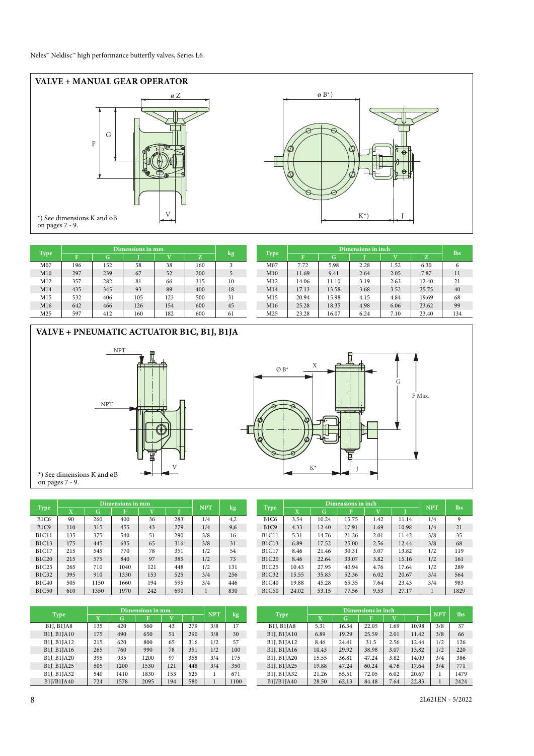

|             |     |     | Dimensions in mm |     |                |    |             | Dimensions in inch |       |      |      |                | <b>lbs</b> |
|-------------|-----|-----|------------------|-----|----------------|----|-------------|--------------------|-------|------|------|----------------|------------|
| <b>Type</b> |     | G   |                  |     | $\overline{ }$ | kg | <b>Type</b> |                    | G.    |      |      | $\overline{ }$ |            |
| M07         | 196 | 152 | 58               | 38  | 160            |    | M07         | 7.72               | 5.98  | 2.28 | 1.52 | 6.30           | 6          |
| M10         | 297 | 239 | 67               | 52  | 200            |    | M10         | 11.69              | 9.41  | 2.64 | 2.05 | 7.87           | 11         |
| M12         | 357 | 282 | 81               | 66  | 315            | 10 | M12         | 14.06              | 11.10 | 3.19 | 2.63 | 12.40          | 21         |
| M14         | 435 | 345 | 93               | 89  | 400            | 18 | M14         | 17.13              | 13.58 | 3.68 | 3.52 | 25.75          | 40         |
| M15         | 532 | 406 | 105              | 123 | 500            | 31 | M15         | 20.94              | 15.98 | 4.15 | 4.84 | 19.69          | 68         |
| M16         | 642 | 466 | 126              | 154 | 600            | 45 | M16         | 25.28              | 18.35 | 4.98 | 6.06 | 23.62          | 99         |
| M25         | 597 | 412 | 160              | 182 | 600            | 61 | M25         | 23.28              | 16.07 | 6.24 | 7.10 | 23.40          | 134        |







on pages 7 - 9.

| <b>Type</b>                   |             |      | Dimensions in mm |                         |     | <b>NPT</b> | kg. |
|-------------------------------|-------------|------|------------------|-------------------------|-----|------------|-----|
|                               | $\mathbf X$ | G    | F                | $\overline{\mathbf{V}}$ |     |            |     |
| <b>B1C6</b>                   | 90          | 260  | 400              | 36                      | 283 | 1/4        | 4,2 |
| B <sub>1</sub> C <sub>9</sub> | 110         | 315  | 455              | 43                      | 279 | 1/4        | 9,6 |
| <b>B1C11</b>                  | 135         | 375  | 540              | 51                      | 290 | 3/8        | 16  |
| <b>B1C13</b>                  | 175         | 445  | 635              | 65                      | 316 | 3/8        | 31  |
| <b>B1C17</b>                  | 215         | 545  | 770              | 78                      | 351 | 1/2        | 54  |
| <b>B1C20</b>                  | 215         | 575  | 840              | 97                      | 385 | 1/2        | 73  |
| <b>B1C25</b>                  | 265         | 710  | 1040             | 121                     | 448 | 1/2        | 131 |
| <b>B1C32</b>                  | 395         | 910  | 1330             | 153                     | 525 | 3/4        | 256 |
| <b>B1C40</b>                  | 505         | 1150 | 1660             | 194                     | 595 | 3/4        | 446 |
| <b>B1C50</b>                  | 610         | 1350 | 1970             | 242                     | 690 | 1          | 830 |

|                                                              |             | Dimensions in mm |      | <b>NPT</b>   |     |     |                 |
|--------------------------------------------------------------|-------------|------------------|------|--------------|-----|-----|-----------------|
| <b>Type</b>                                                  | $\mathbf x$ | G                | F    | $\rm\bar{v}$ |     |     | $k\overline{g}$ |
| B <sub>1</sub> J, B <sub>1</sub> J <sub>A</sub> 8            | 135         | 420              | 560  | 43           | 279 | 3/8 | 17              |
| B <sub>1</sub> J, B <sub>1</sub> JA <sub>10</sub>            | 175         | 490              | 650  | 51           | 290 | 3/8 | 30              |
| B <sub>1</sub> J, B <sub>1</sub> J <sub>A<sub>12</sub></sub> | 215         | 620              | 800  | 65           | 316 | 1/2 | 57              |
| B1J, B1JA16                                                  | 265         | 760              | 990  | 78           | 351 | 1/2 | 100             |
| B <sub>1</sub> J, B <sub>1</sub> JA <sub>20</sub>            | 395         | 935              | 1200 | 97           | 358 | 3/4 | 175             |
| B1J, B1JA25                                                  | 505         | 1200             | 1530 | 121          | 448 | 3/4 | 350             |
| B <sub>1</sub> J, B <sub>1</sub> JA <sub>32</sub>            | 540         | 1410             | 1830 | 153          | 525 |     | 671             |
| B1J/B1JA40                                                   | 724         | 1578             | 2095 | 194          | 580 | 1   | 1100            |

|              |             | Dimensions in inch |       | <b>NPT</b>              | <b>lbs</b> |     |      |
|--------------|-------------|--------------------|-------|-------------------------|------------|-----|------|
| <b>Type</b>  | $\mathbf X$ | G                  | F     | $\overline{\mathbf{V}}$ |            |     |      |
| <b>B1C6</b>  | 3.54        | 10.24              | 15.75 | 1.42                    | 11.14      | 1/4 | 9    |
| B1C9         | 4.33        | 12.40              | 17.91 | 1.69                    | 10.98      | 1/4 | 21   |
| <b>B1C11</b> | 5.31        | 14.76              | 21.26 | 2.01                    | 11.42      | 3/8 | 35   |
| <b>B1C13</b> | 6.89        | 17.52              | 25.00 | 2.56                    | 12.44      | 3/8 | 68   |
| <b>B1C17</b> | 8.46        | 21.46              | 30.31 | 3.07                    | 13.82      | 1/2 | 119  |
| <b>B1C20</b> | 8.46        | 22.64              | 33.07 | 3.82                    | 15.16      | 1/2 | 161  |
| <b>B1C25</b> | 10.43       | 27.95              | 40.94 | 4.76                    | 17.64      | 1/2 | 289  |
| <b>B1C32</b> | 15.55       | 35.83              | 52.36 | 6.02                    | 20.67      | 3/4 | 564  |
| <b>B1C40</b> | 19.88       | 45.28              | 65.35 | 7.64                    | 23.43      | 3/4 | 983  |
| <b>B1C50</b> | 24.02       | 53.15              | 77.56 | 9.53                    | 27.17      |     | 1829 |

|                                                              |             | Dimensions in inch |       |                         | <b>lbs</b> |            |      |
|--------------------------------------------------------------|-------------|--------------------|-------|-------------------------|------------|------------|------|
| <b>Type</b>                                                  | $\mathbf X$ | G                  | F     | $\overline{\mathbf{V}}$ |            | <b>NPT</b> |      |
| B <sub>1</sub> J, B <sub>1</sub> J <sub>A</sub> 8            | 5.31        | 16.54              | 22.05 | 1.69                    | 10.98      | 3/8        | 37   |
| B1J, B1JA10                                                  | 6.89        | 19.29              | 25.59 | 2.01                    | 11.42      | 3/8        | 66   |
| B <sub>1</sub> J, B <sub>1</sub> J <sub>A<sub>12</sub></sub> | 8.46        | 24.41              | 31.5  | 2.56                    | 12.44      | 1/2        | 126  |
| B1J, B1JA16                                                  | 10.43       | 29.92              | 38.98 | 3.07                    | 13.82      | 1/2        | 220  |
| B1J, B1JA20                                                  | 15.55       | 36.81              | 47.24 | 3.82                    | 14.09      | 3/4        | 386  |
| B <sub>1</sub> J, B <sub>1</sub> JA <sub>25</sub>            | 19.88       | 47.24              | 60.24 | 4.76                    | 17.64      | 3/4        | 771  |
| B <sub>1</sub> J, B <sub>1</sub> JA <sub>32</sub>            | 21.26       | 55.51              | 72.05 | 6.02                    | 20.67      |            | 1479 |
| B1I/B1IA40                                                   | 28.50       | 62.13              | 84.48 | 7.64                    | 22.83      |            | 2424 |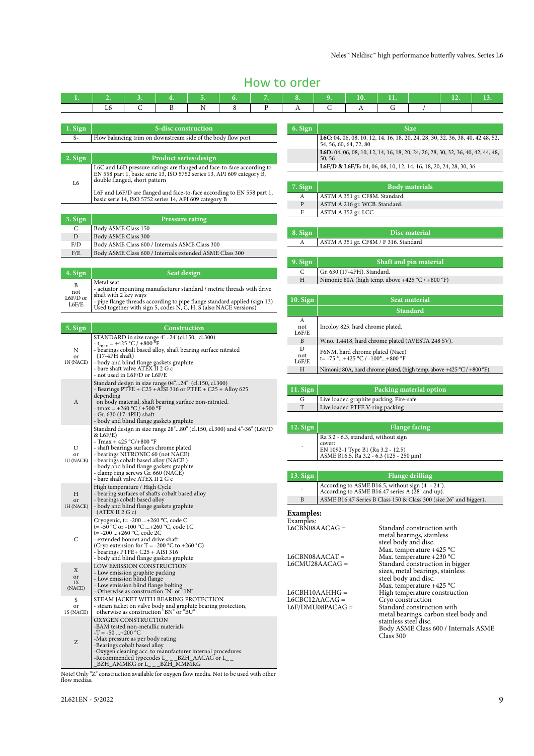### How to order

| <u>2. 3. 4. 5. 6. 7. 8. 9.</u> |  |  |              | $10.$ |  |  |
|--------------------------------|--|--|--------------|-------|--|--|
|                                |  |  | $\mathbf{A}$ |       |  |  |

| 1. Sign,  | <b>S-disc construction</b>                                                                                                                                                                                                                                                                                                       |  |  |  |  |
|-----------|----------------------------------------------------------------------------------------------------------------------------------------------------------------------------------------------------------------------------------------------------------------------------------------------------------------------------------|--|--|--|--|
| $S-$      | Flow balancing trim on downstream side of the body flow port                                                                                                                                                                                                                                                                     |  |  |  |  |
|           |                                                                                                                                                                                                                                                                                                                                  |  |  |  |  |
| 2. Sign   | <b>Product series/design</b>                                                                                                                                                                                                                                                                                                     |  |  |  |  |
| <b>L6</b> | L6C and L6D pressure ratings are flanged and face-to-face according to<br>EN 558 part 1, basic serie 13, ISO 5752 series 13, API 609 category $\check{B}$ ,<br>double flanged, short pattern<br>L6F and L6F/D are flanged and face-to-face according to EN 558 part 1,<br>basic serie 14, ISO 5752 series 14, API 609 category B |  |  |  |  |
|           |                                                                                                                                                                                                                                                                                                                                  |  |  |  |  |
| 3. Sign   | <b>Pressure rating</b>                                                                                                                                                                                                                                                                                                           |  |  |  |  |
| C         | Body ASME Class 150                                                                                                                                                                                                                                                                                                              |  |  |  |  |

|     | Body ASME Class 150                                     |
|-----|---------------------------------------------------------|
| D   | Body ASME Class 300                                     |
| F/D | Body ASME Class 600 / Internals ASME Class 300          |
| F/E | Body ASME Class 600 / Internals extended ASME Class 300 |
|     |                                                         |

| 4. Sign                       | Seat design                                                                                                                                                                                                                                                      |
|-------------------------------|------------------------------------------------------------------------------------------------------------------------------------------------------------------------------------------------------------------------------------------------------------------|
| B<br>not<br>L6F/D or<br>L6F/E | Metal seat<br>- actuator mounting manufacturer standard / metric threads with drive<br>shaft with 2 key ways<br>- pipe flange threads according to pipe flange standard applied (sign 13)<br>Used together with sign 5, codes $N$ , C, H, S (also NACE versions) |

| 5. Sign                 | Construction                                                                                                                                                                                                                                                                                                                                                 |
|-------------------------|--------------------------------------------------------------------------------------------------------------------------------------------------------------------------------------------------------------------------------------------------------------------------------------------------------------------------------------------------------------|
| Ν<br>or<br>IN (NACE)    | STANDARD in size range 4"24"(cl.150, cl.300)<br>$- t_{\text{max}} = +425 \text{ °C}$ / +800 $\text{°F}$<br>- bearings cobalt based alloy, shaft bearing surface nitrated<br>(17-4PH shaft)<br>- body and blind flange gaskets graphite<br>- bare shaft valve ATEX II 2 G c<br>- not used in L6F/D or L6F/E                                                   |
| A                       | Standard design in size range 04"24" (cl.150, cl.300)<br>- Bearings PTFE + C25 + AISI 316 or PTFE + C25 + Alloy 625<br>depending<br>on body material, shaft bearing surface non-nitrated.<br>- tmax = +260 °C / +500 °F<br>- Gr. 630 (17-4PH) shaft<br>- body and blind flange gaskets graphite                                                              |
| U<br>or<br>IU (NACE)    | Standard design in size range 28"80" (cl.150, cl.300) and 4"-36" (L6F/D<br>& L6F/E)<br>- Tmax + 425 °C/+800 °F<br>- shaft bearings surfaces chrome plated<br>- bearings NITRONIC 60 (not NACE)<br>- bearings cobalt based alloy (NACE)<br>- body and blind flange gaskets graphite<br>- clamp ring screws Gr. 660 (NACE)<br>- bare shaft valve ATEX II 2 G c |
| Н<br>or<br>1H (NACE)    | High temperature / High Cycle<br>- bearing surfaces of shafts cobalt based alloy<br>- bearings cobalt based alloy<br>- body and blind flange gaskets graphite<br>(ATEX II 2 G c)                                                                                                                                                                             |
| С                       | Cryogenic, t= -200 +260 °C, code C<br>t= -50 °C or -100 °C +260 °C, code 1C<br>t= -200 +260 °C, code 2C<br>- extended bonnet and drive shaft<br>(Cryo extension for T = -200 $^{\circ}$ C to +260 $^{\circ}$ C)<br>- bearings PTFE+ C25 + AISI 316<br>- body and blind flange gaskets graphite                                                               |
| Χ<br>or<br>1X<br>(NACE) | LOW EMISSION CONSTRUCTION<br>- Low emission graphite packing<br>- Low emission blind flange<br>- Low emission blind flange bolting<br>- Otherwise as construction "N" or "1N"                                                                                                                                                                                |
| S<br>or<br>1S (NACE)    | STEAM JACKET WITH BEARING PROTECTION<br>- steam jacket on valve body and graphite bearing protection,<br>otherwise as construction "BN" or "BU"                                                                                                                                                                                                              |
| Ζ                       | OXYGEN CONSTRUCTION<br>-BAM tested non-metallic materials<br>$-T = -50  + 200 °C$<br>-Max pressure as per body rating<br>-Bearings cobalt based alloy<br>-Oxygen cleaning acc. to manufacturer internal procedures.<br>-Recommended typecodes L___BZH_AACAG or L__<br>BZH_AMMKG or L_ _ _BZH_MMMKG                                                           |

Note! Only "Z" construction available for oxygen flow media. Not to be used with other flow medias.

| $6.$ Sign | <b>Size</b>                                                                                                        |
|-----------|--------------------------------------------------------------------------------------------------------------------|
|           | <b>L6C</b> : 04, 06, 08, 10, 12, 14, 16, 18, 20, 24, 28, 30, 32, 36, 38, 40, 42, 48, 52,<br>54, 56, 60, 64, 72, 80 |
|           | L6D: 04, 06, 08, 10, 12, 14, 16, 18, 20, 24, 26, 28, 30, 32, 36, 40, 42, 44, 48,<br>50, 56                         |
|           | L6F/D & L6F/E: 04, 06, 08, 10, 12, 14, 16, 18, 20, 24, 28, 30, 36                                                  |
|           |                                                                                                                    |
| 7. Sign   | <b>Body materials</b>                                                                                              |
|           | $\sqrt{2}$<br>$1.0773$ $1.0773$                                                                                    |

| ASTM A 351 gr. CF8M. Standard. |
|--------------------------------|
| ASTM A 216 gr. WCB. Standard.  |
| ASTM A 352 gr. LCC             |

| $\setminus$ 8. Sign | Disc material                         |
|---------------------|---------------------------------------|
|                     | ASTM A 351 gr. CF8M / F 316. Standard |

| $\sqrt{9}$ . Sign | Shaft and pin material                           |  |
|-------------------|--------------------------------------------------|--|
|                   | Gr. 630 (17-4PH). Standard.                      |  |
| Н                 | Nimonic 80A (high temp. above +425 °C / +800 °F) |  |

| $10.$ Sign        | <b>Seat material</b>                                                     |  |  |
|-------------------|--------------------------------------------------------------------------|--|--|
|                   | <b>Standard</b>                                                          |  |  |
| А<br>not<br>L6F/E | Incoloy 825, hard chrome plated.                                         |  |  |
| B                 | W.no. 1.4418, hard chrome plated (AVESTA 248 SV).                        |  |  |
| D<br>not<br>L6F/E | F6NM, hard chrome plated (Nace)<br>$t = -75$ °  +425 °C / -100°  +800 °F |  |  |
| H                 | Nimonic 80A, hard chrome plated, (high temp. above +425 °C / +800 °F).   |  |  |

| Packing material option<br>$\vert$ 11. Sign $\vert$ |  |
|-----------------------------------------------------|--|
| Live loaded graphite packing, Fire-safe<br>G        |  |
| Live loaded PTFE V-ring packing                     |  |

| $12.$ Sign | <b>Flange facing</b>                                                                                                              |
|------------|-----------------------------------------------------------------------------------------------------------------------------------|
| ٠          | Ra 3.2 - 6.3, standard, without sign<br>cover:<br>EN 1092-1 Type B1 (Ra 3.2 - 12.5)<br>  ASME B16.5, Ra 3.2 - 6.3 (125 - 250 μin) |

| 13. Sign $\vert$         | <b>Flange drilling</b>                                                                               |
|--------------------------|------------------------------------------------------------------------------------------------------|
| $\overline{\phantom{a}}$ | According to ASME B16.5, without sign (4" - 24").<br>According to ASME B16.47 series A (28" and up). |
| B                        | ASME B16.47 Series B Class 150 & Class 300 (size 26" and bigger),                                    |

### **Examples:** Exan<br>L6Cl

| планиргез.          |                                                                                 |
|---------------------|---------------------------------------------------------------------------------|
| Examples:           |                                                                                 |
| $LGBNO8AACAG =$     | Standard construction with<br>metal bearings, stainless<br>steel body and disc. |
|                     | Max. temperature +425 °C                                                        |
| $LGBNO8AACAT =$     | Max. temperature +230 °C                                                        |
| $L6CMU28AACAG =$    | Standard construction in bigger                                                 |
|                     | sizes, metal bearings, stainless                                                |
|                     | steel body and disc.                                                            |
|                     | Max. temperature +425 °C                                                        |
| $LGCH10AAHHG =$     | High temperature construction                                                   |
| $LGBC12AACAG =$     | Cryo construction                                                               |
| $L6$ F/DMU08PACAG = | Standard construction with                                                      |
|                     | metal bearings, carbon steel body and                                           |
|                     | stainless steel disc.                                                           |
|                     | Body ASME Class 600 / Internals ASME                                            |
|                     | Class 300                                                                       |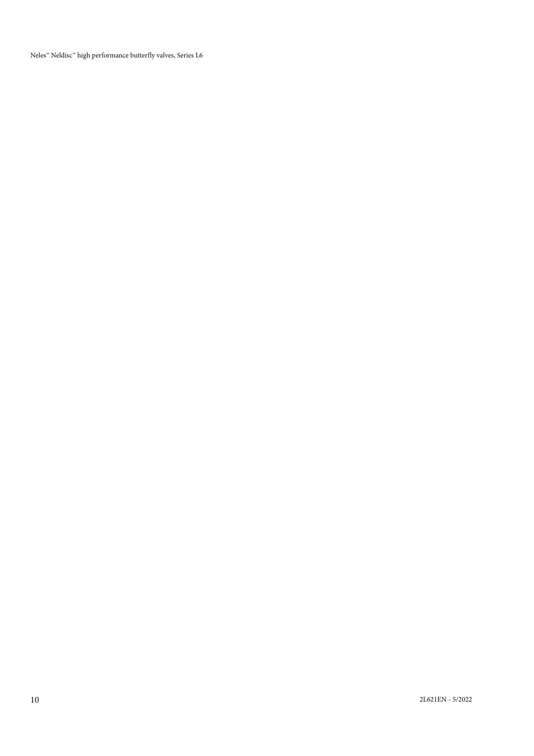Neles<sup>™</sup> Neldisc<sup>™</sup> high performance butterfly valves, Series L6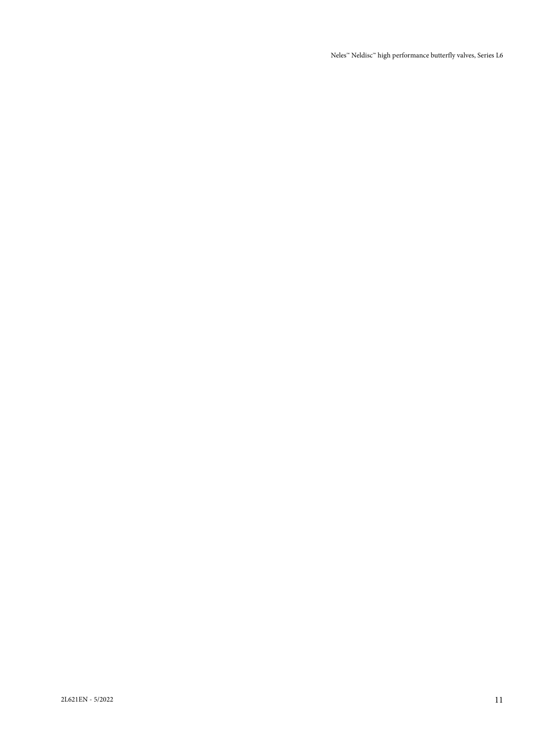$\text{Nelse}^{\text{m}}\text{Neldisc}^{\text{m}}$ high performance butterfly valves, Series L<br/>6